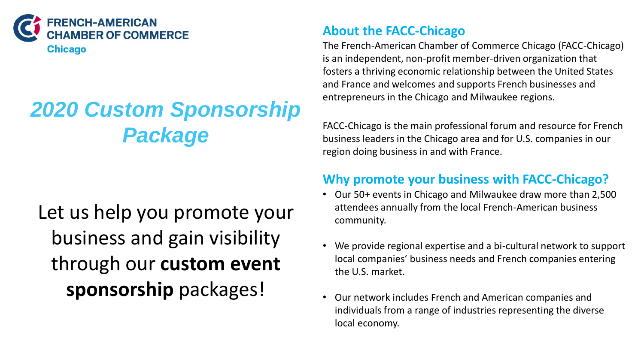

# *2020 Custom Sponsorship Package*

# Let us help you promote your business and gain visibility through our **custom event sponsorship** packages!

#### **About the FACC-Chicago**

The French-American Chamber of Commerce Chicago (FACC-Chicago) is an independent, non-profit member-driven organization that fosters a thriving economic relationship between the United States and France and welcomes and supports French businesses and entrepreneurs in the Chicago and Milwaukee regions.

FACC-Chicago is the main professional forum and resource for French business leaders in the Chicago area and for U.S. companies in our region doing business in and with France.

#### **Why promote your business with FACC-Chicago?**

- Our 50+ events in Chicago and Milwaukee draw more than 2,500 attendees annually from the local French-American business community.
- We provide regional expertise and a bi-cultural network to support local companies' business needs and French companies entering the U.S. market.
- Our network includes French and American companies and individuals from a range of industries representing the diverse local economy.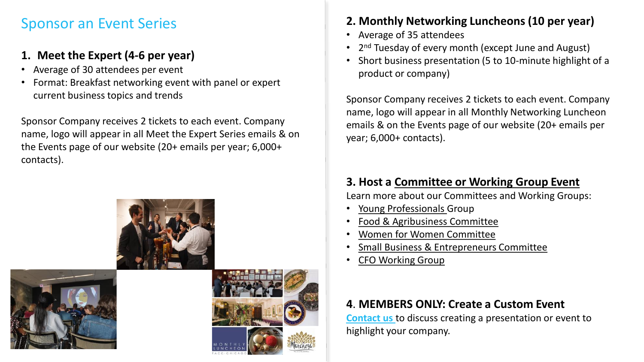### Sponsor an Event Series

#### **1. Meet the Expert (4-6 per year)**

- Average of 30 attendees per event
- Format: Breakfast networking event with panel or expert current business topics and trends

Sponsor Company receives 2 tickets to each event. Company name, logo will appear in all Meet the Expert Series emails & on the Events page of our website (20+ emails per year; 6,000+ contacts).







#### **2. Monthly Networking Luncheons (10 per year)**

- Average of 35 attendees
- 2<sup>nd</sup> Tuesday of every month (except June and August)
- Short business presentation (5 to 10-minute highlight of a product or company)

Sponsor Company receives 2 tickets to each event. Company name, logo will appear in all Monthly Networking Luncheon emails & on the Events page of our website (20+ emails per year; 6,000+ contacts).

#### **3. Host a [Committee or Working Group Event](https://www.facc-chicago.com/committees.html)**

Learn more about our Committees and Working Groups:

- [Young Professionals G](https://www.facc-chicago.com/committees/young-professionals.html)roup
- [Food & Agribusiness Committee](https://www.facc-chicago.com/committees/food-and-agribusiness-committee.html)
- [Women for Women Committee](https://www.facc-chicago.com/committees/women-for-women-committee.html)
- [Small Business & Entrepreneurs Committee](https://www.facc-chicago.com/committees/small-business-and-entrepreneurs.html)
- [CFO Working Group](https://www.facc-chicago.com/committees/cfo-working-group.html)

#### **4**. **MEMBERS ONLY: Create a Custom Event**

**[Contact us](mailto:tradeservices@facc-chicago.com)** to discuss creating a presentation or event to highlight your company.